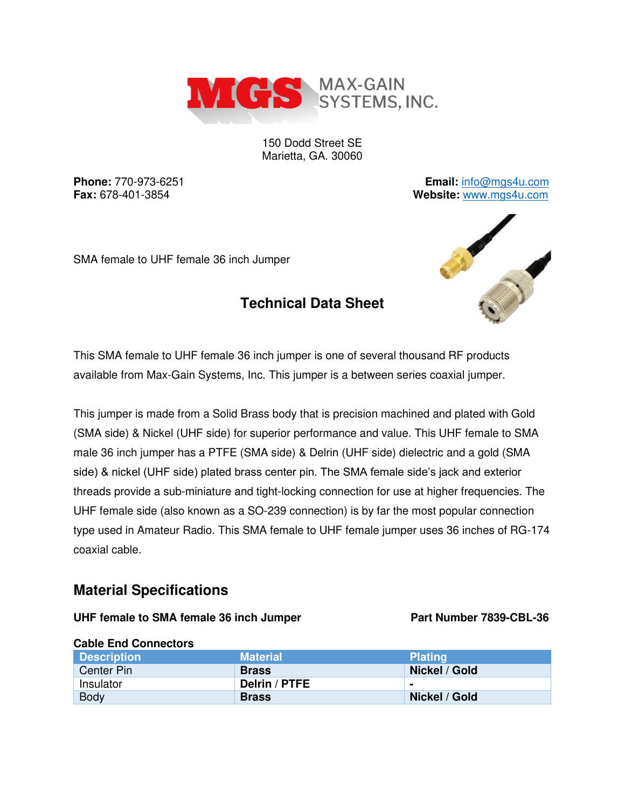

150 Dodd Street SE Marietta, GA. 30060

**Technical Data Sheet** 

**Phone:** 770-973-6251 **Email:** [info@mgs4u.com](mailto:info@mgs4u.com) **Fax:** 678-401-3854 **Website:** [www.mgs4u.com](http://www.mgs4u.com/)

SMA female to UHF female 36 inch Jumper

# AND TO BE A REAL

This SMA female to UHF female 36 inch jumper is one of several thousand RF products available from Max-Gain Systems, Inc. This jumper is a between series coaxial jumper.

This jumper is made from a Solid Brass body that is precision machined and plated with Gold (SMA side) & Nickel (UHF side) for superior performance and value. This UHF female to SMA male 36 inch jumper has a PTFE (SMA side) & Delrin (UHF side) dielectric and a gold (SMA side) & nickel (UHF side) plated brass center pin. The SMA female side's jack and exterior threads provide a sub-miniature and tight-locking connection for use at higher frequencies. The UHF female side (also known as a SO-239 connection) is by far the most popular connection type used in Amateur Radio. This SMA female to UHF female jumper uses 36 inches of RG-174 coaxial cable.

## **Material Specifications**

## UHF female to SMA female 36 inch Jumper **Part Number 7839-CBL-36**

| <b>URBIC ETA UPPERIOR</b> |                 |                |
|---------------------------|-----------------|----------------|
| <b>Description</b>        | <b>Material</b> | <b>Plating</b> |
| Center Pin                | <b>Brass</b>    | Nickel / Gold  |
| Insulator                 | Delrin / PTFE   |                |
| <b>Body</b>               | <b>Brass</b>    | Nickel / Gold  |

## **Cable End Connectors**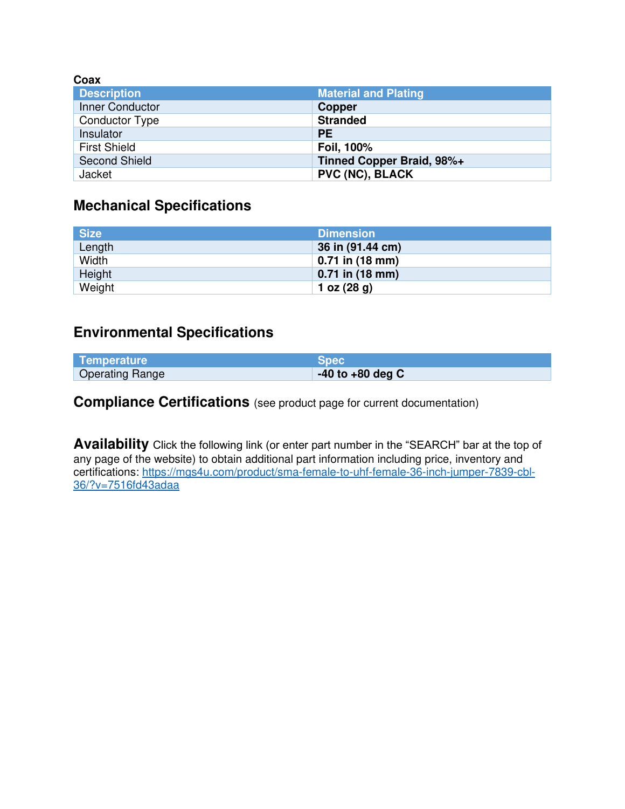| Coax                  |                             |
|-----------------------|-----------------------------|
| <b>Description</b>    | <b>Material and Plating</b> |
| Inner Conductor       | <b>Copper</b>               |
| <b>Conductor Type</b> | <b>Stranded</b>             |
| Insulator             | <b>PE</b>                   |
| <b>First Shield</b>   | Foil, 100%                  |
| <b>Second Shield</b>  | Tinned Copper Braid, 98%+   |
| Jacket                | <b>PVC (NC), BLACK</b>      |

# **Mechanical Specifications**

| <b>Size</b> | <b>Dimension</b>  |
|-------------|-------------------|
| Length      | 36 in (91.44 cm)  |
| Width       | $0.71$ in (18 mm) |
| Height      | $0.71$ in (18 mm) |
| Weight      | 1 oz $(28 g)$     |

## **Environmental Specifications**

| Temperature            | <b>Spec</b>          |
|------------------------|----------------------|
| <b>Operating Range</b> | $-40$ to $+80$ deg C |

**Compliance Certifications** (see product page for current documentation)

**Availability** Click the following link (or enter part number in the "SEARCH" bar at the top of any page of the website) to obtain additional part information including price, inventory and certifications: [https://mgs4u.com/product/sma-female-to-uhf-female-36-inch-jumper-7839-cbl-](https://mgs4u.com/product/sma-female-to-uhf-female-36-inch-jumper-7839-cbl-36/?v=7516fd43adaa)[36/?v=7516fd43adaa](https://mgs4u.com/product/sma-female-to-uhf-female-36-inch-jumper-7839-cbl-36/?v=7516fd43adaa)